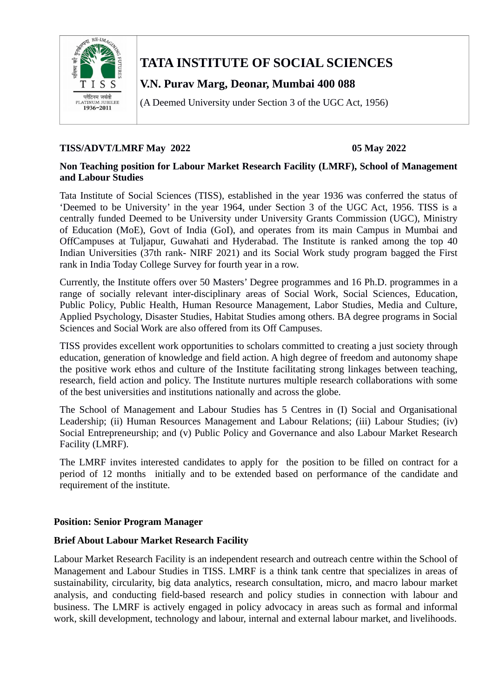

# **TATA INSTITUTE OF SOCIAL SCIENCES**

# **V.N. Purav Marg, Deonar, Mumbai 400 088**

(A Deemed University under Section 3 of the UGC Act, 1956)

#### **TISS/ADVT/LMRF May 2022 05 May 2022**

#### **Non Teaching position for Labour Market Research Facility (LMRF), School of Management and Labour Studies**

Tata Institute of Social Sciences (TISS), established in the year 1936 was conferred the status of 'Deemed to be University' in the year 1964, under Section 3 of the UGC Act, 1956. TISS is a centrally funded Deemed to be University under University Grants Commission (UGC), Ministry of Education (MoE), Govt of India (GoI), and operates from its main Campus in Mumbai and OffCampuses at Tuljapur, Guwahati and Hyderabad. The Institute is ranked among the top 40 Indian Universities (37th rank- NIRF 2021) and its Social Work study program bagged the First rank in India Today College Survey for fourth year in a row.

Currently, the Institute offers over 50 Masters' Degree programmes and 16 Ph.D. programmes in a range of socially relevant inter-disciplinary areas of Social Work, Social Sciences, Education, Public Policy, Public Health, Human Resource Management, Labor Studies, Media and Culture, Applied Psychology, Disaster Studies, Habitat Studies among others. BA degree programs in Social Sciences and Social Work are also offered from its Off Campuses.

TISS provides excellent work opportunities to scholars committed to creating a just society through education, generation of knowledge and field action. A high degree of freedom and autonomy shape the positive work ethos and culture of the Institute facilitating strong linkages between teaching, research, field action and policy. The Institute nurtures multiple research collaborations with some of the best universities and institutions nationally and across the globe.

The School of Management and Labour Studies has 5 Centres in (I) Social and Organisational Leadership; (ii) Human Resources Management and Labour Relations; (iii) Labour Studies; (iv) Social Entrepreneurship; and (v) Public Policy and Governance and also Labour Market Research Facility (LMRF).

The LMRF invites interested candidates to apply for the position to be filled on contract for a period of 12 months initially and to be extended based on performance of the candidate and requirement of the institute.

#### **Position: Senior Program Manager**

#### **Brief About Labour Market Research Facility**

Labour Market Research Facility is an independent research and outreach centre within the School of Management and Labour Studies in TISS. LMRF is a think tank centre that specializes in areas of sustainability, circularity, big data analytics, research consultation, micro, and macro labour market analysis, and conducting field-based research and policy studies in connection with labour and business. The LMRF is actively engaged in policy advocacy in areas such as formal and informal work, skill development, technology and labour, internal and external labour market, and livelihoods.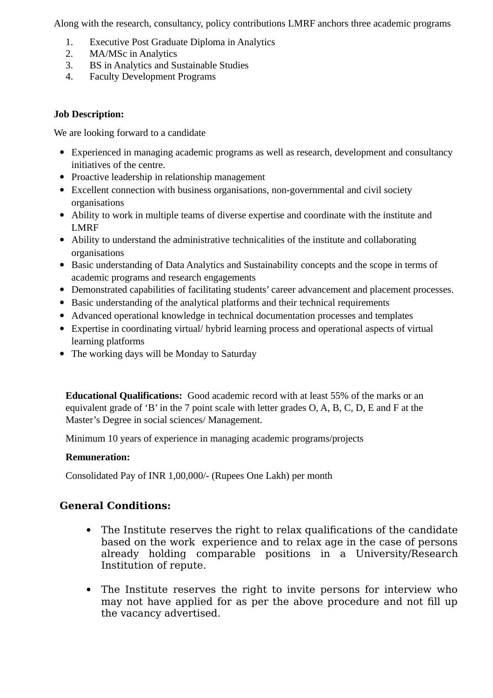Along with the research, consultancy, policy contributions LMRF anchors three academic programs

- 1. Executive Post Graduate Diploma in Analytics
- 2. MA/MSc in Analytics
- 3. BS in Analytics and Sustainable Studies
- 4. Faculty Development Programs

#### **Job Description:**

We are looking forward to a candidate

- Experienced in managing academic programs as well as research, development and consultancy initiatives of the centre.
- Proactive leadership in relationship management
- Excellent connection with business organisations, non-governmental and civil society organisations
- Ability to work in multiple teams of diverse expertise and coordinate with the institute and LMRF
- Ability to understand the administrative technicalities of the institute and collaborating organisations
- Basic understanding of Data Analytics and Sustainability concepts and the scope in terms of academic programs and research engagements
- Demonstrated capabilities of facilitating students' career advancement and placement processes.
- Basic understanding of the analytical platforms and their technical requirements
- Advanced operational knowledge in technical documentation processes and templates
- Expertise in coordinating virtual/ hybrid learning process and operational aspects of virtual learning platforms
- The working days will be Monday to Saturday

**Educational Qualifications:** Good academic record with at least 55% of the marks or an equivalent grade of 'B' in the 7 point scale with letter grades O, A, B, C, D, E and F at the Master's Degree in social sciences/ Management.

Minimum 10 years of experience in managing academic programs/projects

### **Remuneration:**

Consolidated Pay of INR 1,00,000/- (Rupees One Lakh) per month

## **General Conditions:**

- The Institute reserves the right to relax qualifications of the candidate based on the work experience and to relax age in the case of persons already holding comparable positions in a University/Research Institution of repute.
- The Institute reserves the right to invite persons for interview who may not have applied for as per the above procedure and not fill up the vacancy advertised.